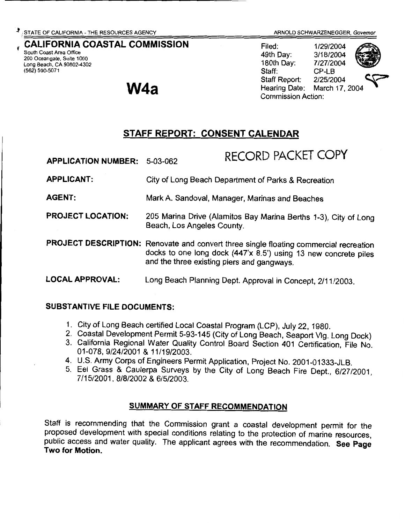#### CALIFORNIA COASTAL COMMISSION South Coast Area Office

**W4a** 

200 Oceangate, Suite 1000 Long Beach, CA 90802-4302 (562) 590-5071

ARNOLD SCHWARZENEGGER, Governor<br>Filed: 1/29/2004<br>49th Dav: 3/18/2004 3/18/2004 180th Day: 7/27/2004 Staff: CP-LB Hearing Date: Staff Report: 2/25/2004 Commission Action:



March 17, 2004

### STAFF REPORT: CONSENT CALENDAR

| <b>APPLICATION NUMBER:</b> | 5-03-062                                                                                                                                                                                               | RECORD PACKET COPY |
|----------------------------|--------------------------------------------------------------------------------------------------------------------------------------------------------------------------------------------------------|--------------------|
| <b>APPLICANT:</b>          | City of Long Beach Department of Parks & Recreation                                                                                                                                                    |                    |
| <b>AGENT:</b>              | Mark A. Sandoval, Manager, Marinas and Beaches                                                                                                                                                         |                    |
| <b>PROJECT LOCATION:</b>   | 205 Marina Drive (Alamitos Bay Marina Berths 1-3), City of Long<br>Beach, Los Angeles County.                                                                                                          |                    |
|                            | PROJECT DESCRIPTION: Renovate and convert three single floating commercial recreation<br>docks to one long dock (447'x 8.5') using 13 new concrete piles<br>and the three existing piers and gangways. |                    |
| <b>LOCAL APPROVAL:</b>     | Long Beach Planning Dept. Approval in Concept, 2/11/2003.                                                                                                                                              |                    |

### SUBSTANTIVE FILE DOCUMENTS:

- 1. City of Long Beach certified Local Coastal Program (LCP), July 22, 1980.
- 2. Coastal Development Permit 5-93-145 (City of Long Beach, Seaport Vlg. Long Dock)
- 3. California Regional Water Quality Control Board Section 401 Certification, File No. 01-078, 9/24/2001 & 11/19/2003.
- 4. U.S. Army Corps of Engineers Permit Application, Project No. 2001-01333-JLB.
- 5. Eel Grass & Caulerpa Surveys by the City of Long Beach Fire Dept., 6/27/2001, 7/15/2001, 8/8/2002 & 6/5/2003.

### SUMMARY OF STAFF RECOMMENDATION

Staff is recommending that the Commission grant a coastal development permit for the proposed development with special conditions relating to the protection of marine resources, public access and water quality. The applicant agrees with the recommendation. See Page Two for Motion.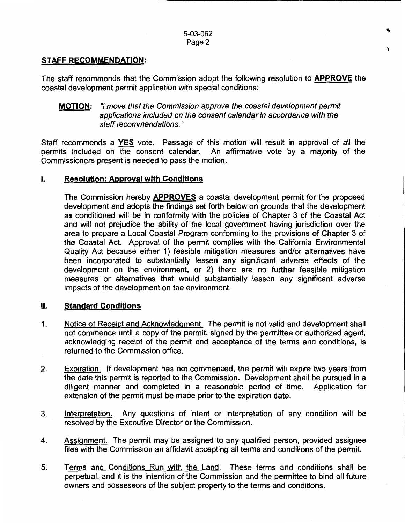.,

#### **STAFF RECOMMENDATION:**

The staff recommends that the Commission adopt the following resolution to **APPROVE** the coastal development permit application with special conditions:

#### **MOTION:** "I move that the Commission approve the coastal development permit applications included on the consent calendar in accordance with the staff recommendations."

Staff recommends a **YES** vote. Passage of this motion will result in approval of all the permits included on the consent calendar. An affirmative vote by a majority of the Commissioners present is needed to pass the motion.

#### I. **Resolution: Approval with Conditions**

The Commission hereby **APPROVES** a coastal development permit for the proposed development and adopts the findings set forth below on grounds that the development as conditioned will be in conformity with the policies of Chapter 3 of the Coastal Act and will not prejudice the ability of the local government having jurisdiction over the area to prepare a Local Coastal Program conforming to the provisions of Chapter 3 of the Coastal Act. Approval of the permit complies with the California Environmental Quality Act because either 1) feasible mitigation measures and/or alternatives have been incorporated to substantially lessen any significant adverse effects of the development on the environment, or 2) there are no further feasible mitigation measures or alternatives that would substantially lessen any significant adverse impacts of the development on the environment.

#### II. **Standard Conditions**

- 1. Notice of Receipt and Acknowledgment. The permit is not valid and development shall not commence until a copy of the permit, signed by the permittee or authorized agent, acknowledging receipt of the permit and acceptance of the terms and conditions, is returned to the Commission office.
- 2. Expiration. If development has not commenced, the permit will expire two years from the date this permit is reported to the Commission. Development shall be pursued in a diligent manner and completed in a reasonable period of time. Application for extension of the permit must be made prior to the expiration date.
- 3. Interpretation. Any questions of intent or interpretation of any condition will be resolved by the Executive Director or the Commission.
- 4. Assignment. The permit may be assigned to any qualified person, provided assignee files with the Commission an affidavit accepting all terms and conditions of the permit.
- 5. Terms and Conditions Run with the Land. These terms and conditions shall be perpetual, and it is the intention of the Commission and the permittee to bind all future owners and possessors of the subject property to the terms and conditions.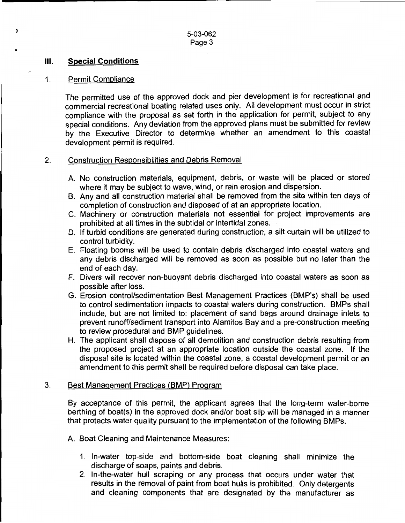5-03-062 Page 3

#### Ill. **Special Conditions**

3

#### 1. Permit Compliance

The permitted use of the approved dock and pier development is for recreational and commercial recreational boating related uses only. All development must occur in strict compliance with the proposal as set forth in the application for permit, subject to any special conditions. Any deviation from the approved plans must be submitted for review by the Executive Director to determine whether an amendment to this coastal development permit is required.

#### 2. Construction Responsibilities and Debris Removal

- A. No construction materials, equipment, debris, or waste will be placed or stored where it may be subject to wave, wind, or rain erosion and dispersion.
- B. Any and all construction material shall be removed from the site within ten days of completion of construction and disposed of at an appropriate location.
- C. Machinery or construction materials not essential for project improvements are prohibited at all times in the subtidal or intertidal zones.
- D. If turbid conditions are generated during construction, a silt curtain will be utilized to control turbidity.
- E. Floating booms will be used to contain debris discharged into coastal waters and any debris discharged will be removed as soon as possible but no later than the end of each day.
- F. Divers will recover non-buoyant debris discharged into coastal waters as soon as possible after loss.
- G. Erosion control/sedimentation Best Management Practices (BMP's) shall be used to control sedimentation impacts to coastal waters during construction. BMPs shall include, but are not limited to: placement of sand bags around drainage inlets to prevent runoff/sediment transport into Alamitos Bay and a pre-construction meeting to review procedural and BMP guidelines.
- H. The applicant shall dispose of all demolition and construction debris resulting from the proposed project at an appropriate location outside the coastal zone. If the disposal site is located within the coastal zone, a coastal development permit or an amendment to this permit shall be required before disposal can take place.

#### 3. Best Management Practices (BMP) Program

By acceptance of this permit, the applicant agrees that the long-term water-borne berthing of boat(s) in the approved dock and/or boat slip will be managed in a manner that protects water quality pursuant to the implementation of the following BMPs.

- A. Boat Cleaning and Maintenance Measures:
	- 1. In-water top-side and bottom-side boat cleaning shall minimize the discharge of soaps, paints and debris.
	- 2. In-the-water hull scraping or any process that occurs under water that results in the removal of paint from boat hulls is prohibited. Only detergents and cleaning components that are designated by the manufacturer as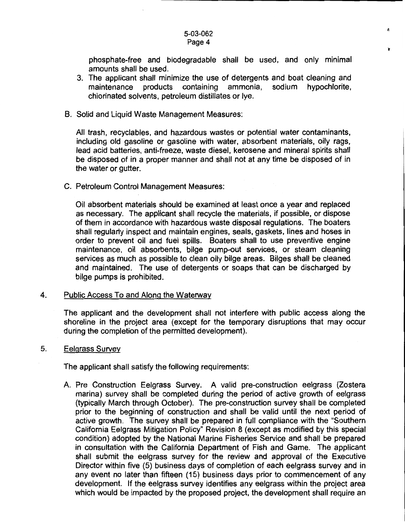#### 5-03-062 Page 4

phosphate-free and biodegradable shall be used, and only minimal amounts shall be used.

'n.

- 3. The applicant shall minimize the use of detergents and boat cleaning and maintenance products containing ammonia, sodium hypochlorite, chlorinated solvents, petroleum distillates or lye.
- B. Solid and Liquid Waste Management Measures:

All trash, recyclables, and hazardous wastes or potential water contaminants, including old gasoline or gasoline with water, absorbent materials, oily rags, lead acid batteries, anti-freeze, waste diesel, kerosene and mineral spirits shall be disposed of in a proper manner and shall not at any time be disposed of in the water or gutter.

C. Petroleum Control Management Measures:

Oil absorbent materials should be examined at least once a year and replaced as necessary. The applicant shall recycle the materials, if possible, or dispose of them in accordance with hazardous waste disposal regulations. The boaters shall regularly inspect and maintain engines, seals, gaskets, lines and hoses in order to prevent oil and fuel spills. Boaters shall to use preventive engine maintenance, oil absorbents, bilge pump-out services, or steam cleaning services as much as possible to clean oily bilge areas. Bilges shall be cleaned and maintained. The use of detergents or soaps that can be discharged by bilge pumps is prohibited.

#### 4. Public Access To and Along the Waterway

The applicant and the development shall not interfere with public access along the shoreline in the project area (except for the temporary disruptions that may occur during the completion of the permitted development).

#### 5. Eelgrass Survey

The applicant shall satisfy the following requirements:

A. Pre Construction Eelgrass Survey. A valid pre-construction eelgrass (Zostera marina) survey shall be completed during the period of active growth of eelgrass (typically March through October). The pre-construction survey shall be completed prior to the beginning of construction and shall be valid until the next period of active growth. The survey shall be prepared in full compliance with the "Southern California Eelgrass Mitigation Policy" Revision 8 (except as modified by this special condition) adopted by the National Marine Fisheries Service and shall be prepared in consultation with the California Department of Fish and Game. The applicant shall submit the eelgrass survey for the review and approval of the Executive Director within five (5) business days of completion of each eelgrass survey and in any event no later than fifteen (15) business days prior to commencement of any development. If the eelgrass survey identifies any eelgrass within the project area which would be impacted by the proposed project, the development shall require an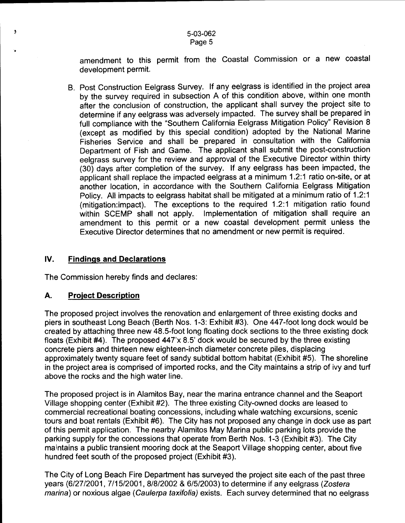amendment to this permit from the Coastal Commission or a new coastal development permit.

B. Post Construction Eelgrass Survey. If any eelgrass is identified in the project area by the survey required in subsection A of this condition above, within one month after the conclusion of construction, the applicant shall survey the project site to determine if any eelgrass was adversely impacted. The survey shall be prepared in full compliance with the "Southern California Eelgrass Mitigation Policy" Revision 8 (except as modified by this special condition) adopted by the National Marine Fisheries Service and shall be prepared in consultation with the California Department of Fish and Game. The applicant shall submit the post-construction eelgrass survey for the review and approval of the Executive Director within thirty (30) days after completion of the survey. If any eelgrass has been impacted, the applicant shall replace the impacted eelgrass at a minimum 1.2:1 ratio on-site, or at another location, in accordance with the Southern California Eelgrass Mitigation Policy. All impacts to eelgrass habitat shall be mitigated at a minimum ratio of 1.2:1 (mitigation:impact). The exceptions to the required 1.2:1 mitigation ratio found within SCEMP shall not apply. Implementation of mitigation shall require an amendment to this permit or a new coastal development permit unless the Executive Director determines that no amendment or new permit is required.

#### IV. **Findings and Declarations**

The Commission hereby finds and declares:

#### **A. Project Description**

 $\bullet$ 

The proposed project involves the renovation and enlargement of three existing docks and piers in southeast Long Beach (Berth Nos. 1-3: Exhibit #3). One 447-foot long dock would be created by attaching three new 48.5-foot long floating dock sections to the three existing dock floats (Exhibit #4). The proposed 447'x 8.5' dock would be secured by the three existing concrete piers and thirteen new eighteen-inch diameter concrete piles, displacing approximately twenty square feet of sandy subtidal bottom habitat (Exhibit #5). The shoreline in the project area is comprised of imported rocks, and the City maintains a strip of ivy and turf above the rocks and the high water line.

The proposed project is in Alamitos Bay, near the marina entrance channel and the Seaport Village shopping center (Exhibit #2). The three existing City-owned docks are leased to commercial recreational boating concessions, including whale watching excursions, scenic tours and boat rentals (Exhibit #6). The City has not proposed any change in dock use as part of this permit application. The nearby Alamitos May Marina public parking lots provide the parking supply for the concessions that operate from Berth Nos. 1-3 (Exhibit #3). The City maintains a public transient mooring dock at the Seaport Village shopping center, about five hundred feet south of the proposed project (Exhibit #3).

The City of Long Beach Fire Department has surveyed the project site each of the past three years (6/27/2001, 7/15/2001, 8/8/2002 & 6/5/2003) to determine if any eelgrass (Zostera marina) or noxious algae (Caulerpa taxifolia) exists. Each survey determined that no eelgrass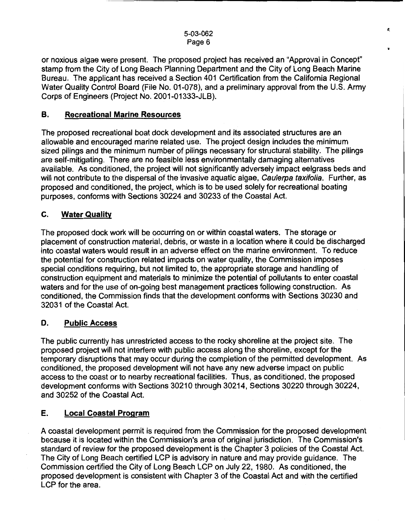*t,* 

or noxious algae were present. The proposed project has received an "Approval in Concept" stamp from the City of Long Beach Planning Department and the City of Long Beach Marine Bureau. The applicant has received a Section 401 Certification from the California Regional Water Quality Control Board (File No. 01-078), and a preliminary approval from the U.S. Army Corps of Engineers (Project No. 2001-01333-JLB).

#### B. Recreational Marine Resources

The proposed recreational boat dock development and its associated structures are an allowable and encouraged marine related use. The project design includes the minimum sized pilings and the minimum number of pilings necessary for structural stability. The pilings are self-mitigating. There are no feasible less environmentally damaging alternatives available. As conditioned, the project will not significantly adversely impact eelgrass beds and will not contribute to the dispersal of the invasive aquatic algae, Caulerpa taxifolia. Further, as proposed and conditioned, the project, which is to be used solely for recreational boating purposes, conforms with Sections 30224 and 30233 of the Coastal Act.

#### C. Water Quality

The proposed dock work will be occurring on or within coastal waters. The storage or placement of construction material, debris, or waste in a location where it could be discharged into coastal waters would result in an adverse effect on the marine environment. To reduce the potential for construction related impacts on water quality, the Commission imposes special conditions requiring, but not limited to, the appropriate storage and handling of construction equipment and materials to minimize the potential of pollutants to enter coastal waters and for the use of on-going best management practices following construction. As conditioned, the Commission finds that the development conforms with Sections 30230 and 32031 of the Coastal Act.

#### D. Public Access

The public currently has unrestricted access to the rocky shoreline at the project site. The proposed project will not interfere with public access along the shoreline, except for the temporary disruptions that may occur during the completion of the permitted development. As conditioned, the proposed development will not have any new adverse impact on public access to the coast or to nearby recreational facilities. Thus, as conditioned, the proposed development conforms with Sections 30210 through 30214, Sections 30220 through 30224, and 30252 of the Coastal Act.

#### E. Local Coastal Program

A coastal development permit is required from the Commission for the proposed development because it is located within the Commission's area of original jurisdiction. The Commission's standard of review for the proposed development is the Chapter 3 policies of the Coastal Act. The City of Long Beach certified LCP is advisory in nature and may provide guidance. The Commission certified the City of Long Beach LCP on July 22, 1980. As conditioned, the proposed development is consistent with Chapter 3 of the Coastal Act and with the certified LCP for the area.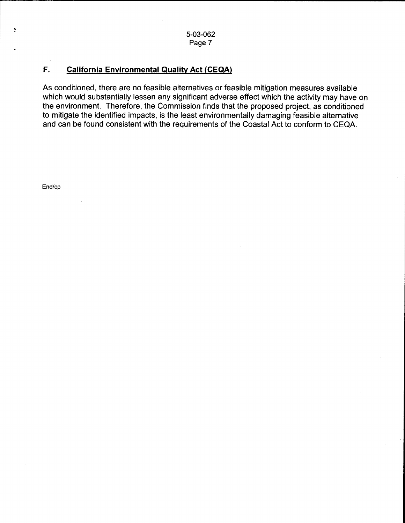#### **F. California Environmental Quality Act (CEQA)**

As conditioned, there are no feasible alternatives or feasible mitigation measures available which would substantially lessen any significant adverse effect which the activity may have on the environment. Therefore, the Commission finds that the proposed project, as conditioned to mitigate the identified impacts, is the least environmentally damaging feasible alternative and can be found consistent with the requirements of the Coastal Act to conform to CEQA.

End/cp

 $\ddot{\zeta}$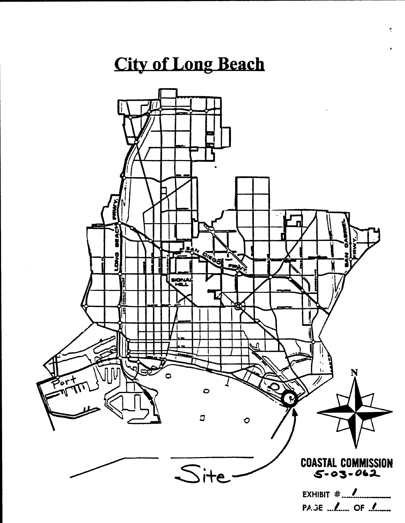# **City of Long Beach**

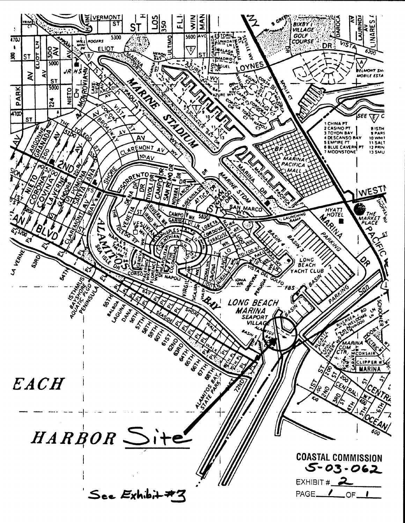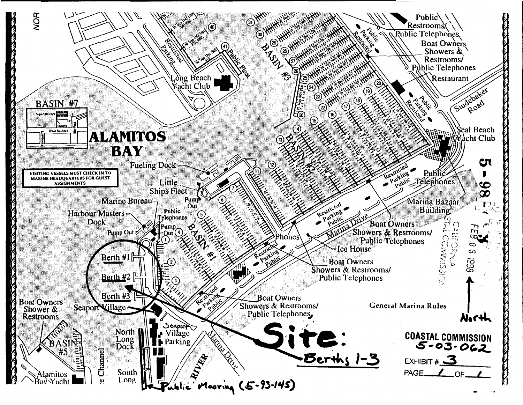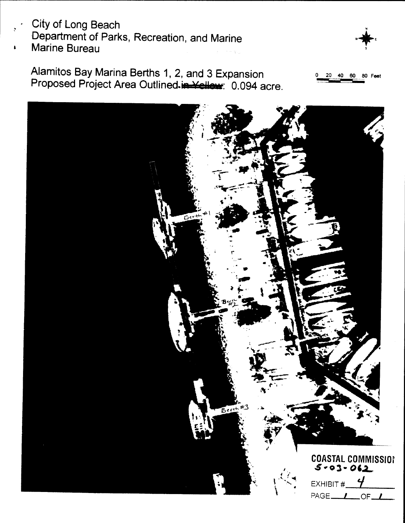## City of Long Beach Department of Parks, Recreation, and Marine **Marine Bureau**

80 Feet

Alamitos Bay Marina Berths 1, 2, and 3 Expansion 20 40 60 Proposed Project Area Outlined.in Yellew: 0.094 acre.

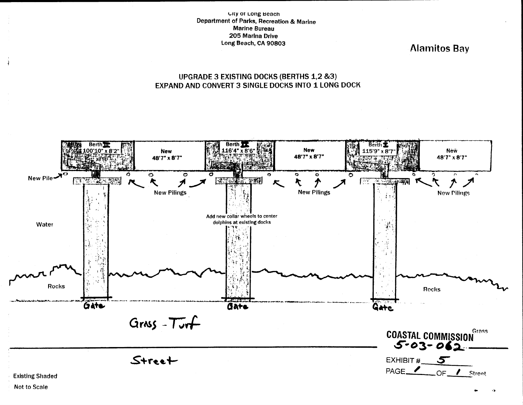City of Long Beach Department of Parks, Recreation & Marine **Marine Bureau** 205 Marina Drive Long Beach, CA 90803

**Alamitos Bay** 

#### UPGRADE 3 EXISTING DOCKS (BERTHS 1,2 &3) EXPAND AND CONVERT 3 SINGLE DOCKS INTO 1 LONG DOCK

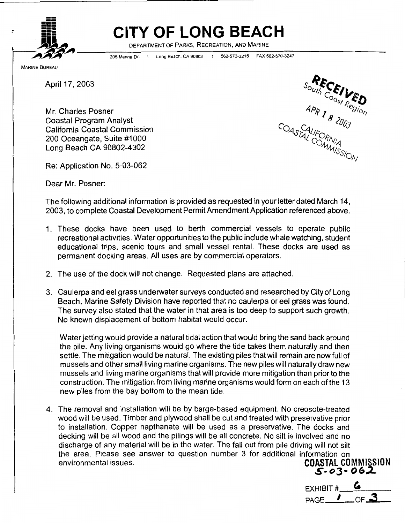

# **CITY OF LONG BEACH**

DEPARTMENT OF PARKS, RECREATION, AND MARINE

205 Marina Or. ' Long Beach, CA 90803 ! 562-570-3215 FAX 562-570-3247

April 17, 2003

Mr. Charles Posner Coastal Program Analyst California Coastal Commission 200 Oceangate, Suite #1000 Long Beach CA 90802-4302

 $\begin{matrix}\n\mathcal{R} & \mathcal{E} & \mathcal{E} & \mathcal{E} & \mathcal{E} & \mathcal{E} & \mathcal{E} & \mathcal{E} & \mathcal{E} & \mathcal{E} & \mathcal{E} & \mathcal{E} & \mathcal{E} & \mathcal{E} & \mathcal{E} & \mathcal{E} & \mathcal{E} & \mathcal{E} & \mathcal{E} & \mathcal{E} & \mathcal{E} & \mathcal{E} & \mathcal{E} & \mathcal{E} & \mathcal{E} & \mathcal{E} & \mathcal{E} & \mathcal{E} & \mathcal{E} & \mathcal{E} & \mathcal{$  $\frac{AP_R}{I}$   $\frac{1}{8}$   $\frac{2003}{1003}$ COASTALIFORNIA

Re: Application No. 5-03-062

Dear Mr. Posner:

The following additional information is provided as requested in your letter dated March 14, 2003, to complete Coastal Development Permit Amendment Application referenced above.

- 1. These docks have been used to berth commercial vessels to operate public recreational activities. Water opportunities to the public include whale watching, student educational trips, scenic tours and small vessel rental. These docks are used as permanent docking areas. All uses are by commercial operators.
- 2. The use of the dock will not change. Requested plans are attached.
- 3. Caulerpa and eel grass underwater surveys conducted and researched by City of Long Beach, Marine Safety Division have reported that no caulerpa or eel grass was found. The survey also stated that the water in that area is too deep to support such growth. No known displacement of bottom habitat would occur.

Water jetting would provide a natural tidal action that would bring the sand back around the pile. Any living organisms would go where the tide takes them naturally and then settle. The mitigation would be natural. The existing piles that will remain are now full of mussels and other small living marine organisms. The new piles will naturally draw new mussels and living marine organisms that will provide more mitigation than prior to the construction. The mitigation from living marine organisms would form on each of the 13 new piles from the bay bottom to the mean tide.

4. The removal and installation will be by barge-based equipment. No creosote-treated wood will be used. Timber and plywood shall be cut and treated with preservative prior to installation. Copper napthanate will be used as a preservative. The docks and decking will be all wood and the pilings will be all concrete. No silt is involved and no discharge of any material will be in the water. The fall out from pile driving will not silt the area. Please see answer to question number 3 for additional information on environmental issues. **COASTAL** COMMISSION

**s .. oJ- 062.**  EXHIBIT  $#_$  $PAGE$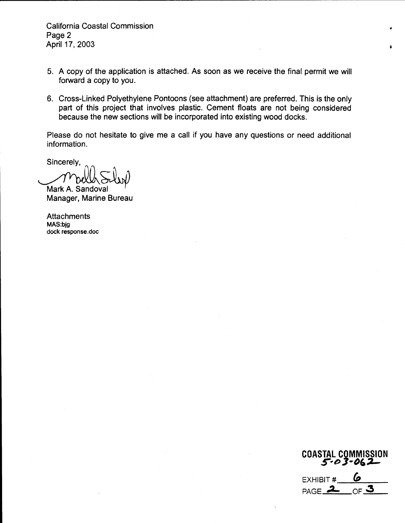California Coastal Commission Page 2 April 17, 2003

- 5. A copy of the application is attached. As soon as we receive the final permit we will forward a copy to you.
- 6. Cross-Linked Polyethylene Pontoons (see attachment) are preferred. This is the only part of this project that involves plastic. Cement floats are not being considered because the new sections will be incorporated into existing wood docks.

Please do not hesitate to give me a call if you have any questions or need additiona1 information.

Sincerely,

Mark A. Sandoval<br>Manager, Marine Bureau

**Attachments** MAS:bjg dock response.doc

**COASTAL COMMISSION**  *5-e>* **3-fJ&:L-**EXHIBIT  $\frac{b}{p_{\text{AGE}}}\frac{b}{2p_{\text{GF}}}\frac{c}{p_{\text{G}}}\frac{c}{p_{\text{G}}}\frac{c}{p_{\text{G}}}\frac{c}{p_{\text{G}}}\frac{c}{p_{\text{G}}}\frac{c}{p_{\text{G}}}\frac{c}{p_{\text{G}}}\frac{c}{p_{\text{G}}}\frac{c}{p_{\text{G}}}\frac{c}{p_{\text{G}}}\frac{c}{p_{\text{G}}}\frac{c}{p_{\text{G}}}\frac{c}{p_{\text{G}}}\frac{c}{p_{\text{G}}}\frac{c}{p_{\text{G}}}\frac{c}{p$ PAGE **..2- OF 3** 

•